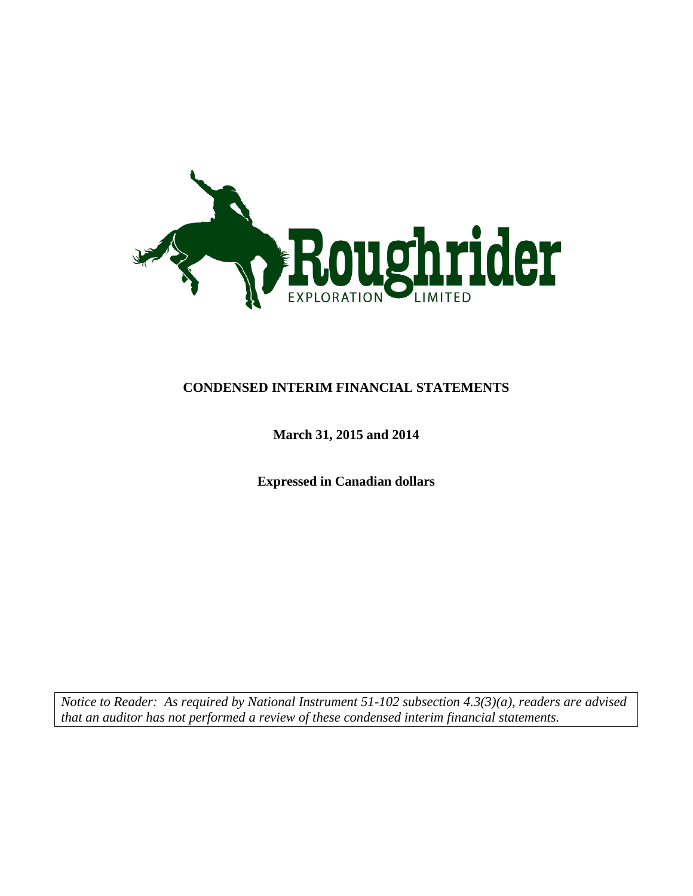

# **CONDENSED INTERIM FINANCIAL STATEMENTS**

# **March 31, 2015 and 2014**

**Expressed in Canadian dollars**

*Notice to Reader: As required by National Instrument 51-102 subsection 4.3(3)(a), readers are advised that an auditor has not performed a review of these condensed interim financial statements.*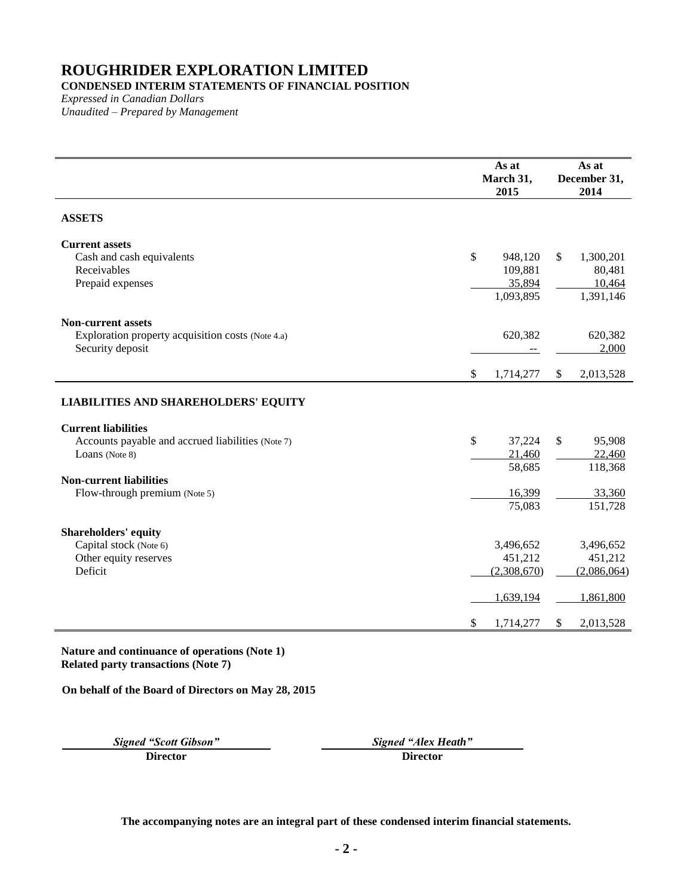## **CONDENSED INTERIM STATEMENTS OF FINANCIAL POSITION**

*Expressed in Canadian Dollars Unaudited – Prepared by Management*

|                                                                                                    |                           | As at<br>March 31,<br>2015                |              | As at<br>December 31,<br>2014              |
|----------------------------------------------------------------------------------------------------|---------------------------|-------------------------------------------|--------------|--------------------------------------------|
| <b>ASSETS</b>                                                                                      |                           |                                           |              |                                            |
| <b>Current assets</b><br>Cash and cash equivalents<br>Receivables<br>Prepaid expenses              | $\$$                      | 948,120<br>109,881<br>35,894<br>1,093,895 | $\mathbb{S}$ | 1,300,201<br>80,481<br>10,464<br>1,391,146 |
| <b>Non-current assets</b><br>Exploration property acquisition costs (Note 4.a)<br>Security deposit |                           | 620,382                                   |              | 620,382<br>2,000                           |
|                                                                                                    | $\mathbb{S}$              | 1,714,277                                 | \$           | 2,013,528                                  |
| <b>LIABILITIES AND SHAREHOLDERS' EQUITY</b>                                                        |                           |                                           |              |                                            |
| <b>Current liabilities</b><br>Accounts payable and accrued liabilities (Note 7)<br>Loans (Note 8)  | \$                        | 37,224<br>21,460<br>58,685                | \$           | 95,908<br>22,460<br>118,368                |
| <b>Non-current liabilities</b><br>Flow-through premium (Note 5)                                    |                           | 16,399<br>75,083                          |              | 33,360<br>151,728                          |
| <b>Shareholders' equity</b><br>Capital stock (Note 6)<br>Other equity reserves<br>Deficit          |                           | 3,496,652<br>451,212<br>(2,308,670)       |              | 3,496,652<br>451,212<br>(2,086,064)        |
|                                                                                                    |                           | 1,639,194                                 |              | 1,861,800                                  |
|                                                                                                    | $\boldsymbol{\mathsf{S}}$ | 1,714,277                                 | \$           | 2,013,528                                  |

**Nature and continuance of operations (Note 1) Related party transactions (Note [7\)](#page-12-0)**

**On behalf of the Board of Directors on May 28, 2015**

**Director Director**

*Signed "Scott Gibson" Signed "Alex Heath"*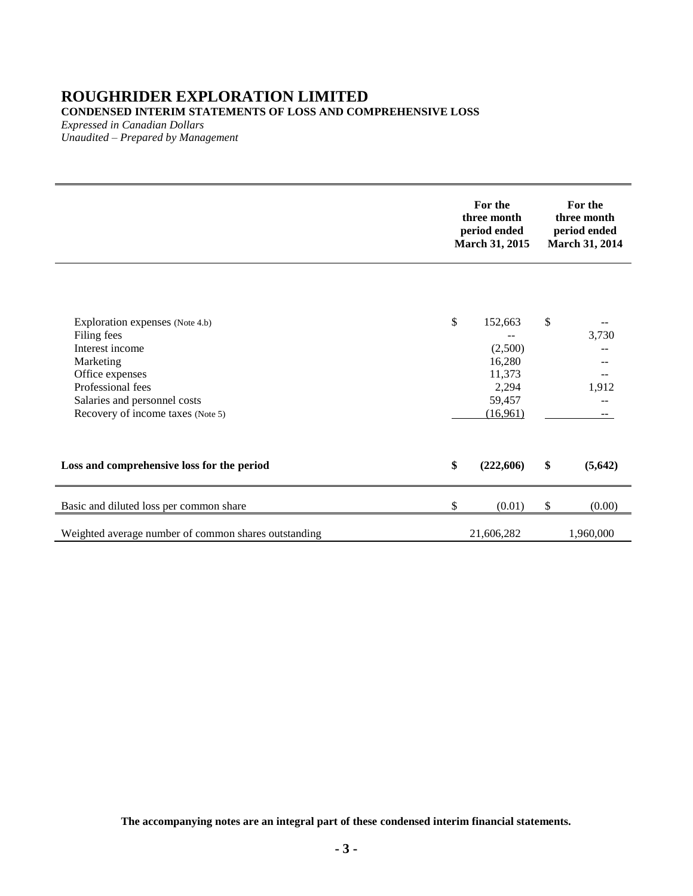# **ROUGHRIDER EXPLORATION LIMITED CONDENSED INTERIM STATEMENTS OF LOSS AND COMPREHENSIVE LOSS**

*Expressed in Canadian Dollars*

*Unaudited – Prepared by Management*

|                                                                                                                                                                                             | For the<br>three month<br>period ended<br>March 31, 2015                    |    | For the<br>three month<br>period ended<br>March 31, 2014 |  |
|---------------------------------------------------------------------------------------------------------------------------------------------------------------------------------------------|-----------------------------------------------------------------------------|----|----------------------------------------------------------|--|
| Exploration expenses (Note 4.b)<br>Filing fees<br>Interest income<br>Marketing<br>Office expenses<br>Professional fees<br>Salaries and personnel costs<br>Recovery of income taxes (Note 5) | \$<br>152,663<br>(2,500)<br>16,280<br>11,373<br>2,294<br>59,457<br>(16,961) | \$ | 3,730<br>--<br>1,912<br>--                               |  |
| Loss and comprehensive loss for the period                                                                                                                                                  | \$<br>(222,606)                                                             | \$ | (5,642)                                                  |  |
| Basic and diluted loss per common share                                                                                                                                                     | \$<br>(0.01)                                                                | \$ | (0.00)                                                   |  |
| Weighted average number of common shares outstanding                                                                                                                                        | 21,606,282                                                                  |    | 1,960,000                                                |  |

**The accompanying notes are an integral part of these condensed interim financial statements.**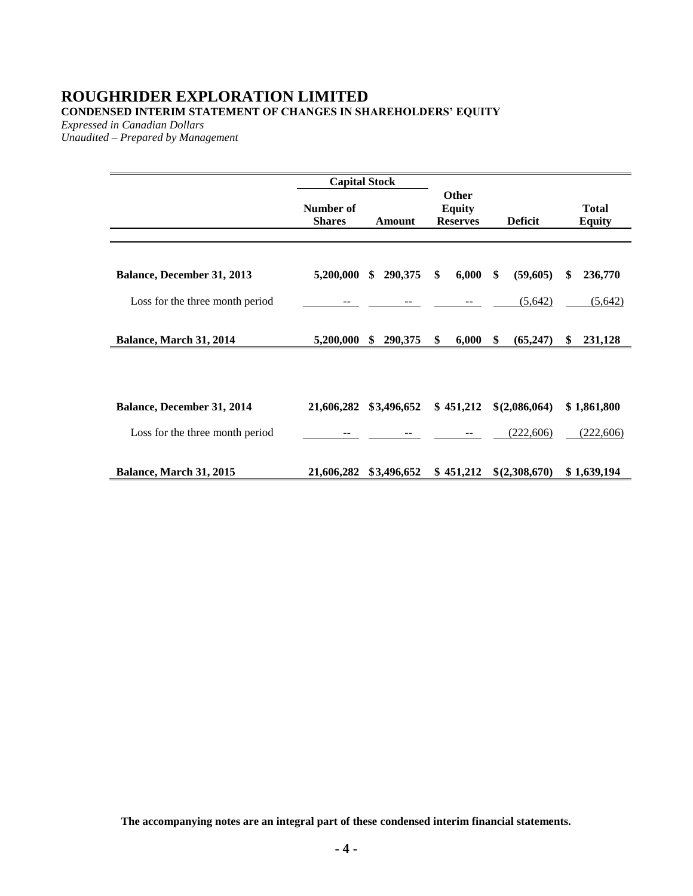# **ROUGHRIDER EXPLORATION LIMITED CONDENSED INTERIM STATEMENT OF CHANGES IN SHAREHOLDERS' EQUITY**

*Expressed in Canadian Dollars*

*Unaudited – Prepared by Management*

|                                   | <b>Capital Stock</b>       |               |                                           |                |                               |
|-----------------------------------|----------------------------|---------------|-------------------------------------------|----------------|-------------------------------|
|                                   | Number of<br><b>Shares</b> | Amount        | Other<br><b>Equity</b><br><b>Reserves</b> | <b>Deficit</b> | <b>Total</b><br><b>Equity</b> |
| <b>Balance, December 31, 2013</b> | 5,200,000                  | \$<br>290,375 | 6,000<br>\$                               | \$<br>(59,605) | \$<br>236,770                 |
| Loss for the three month period   |                            |               |                                           | (5,642)        | (5,642)                       |
| Balance, March 31, 2014           | 5,200,000                  | 290,375<br>\$ | 6,000<br>\$                               | \$<br>(65,247) | 231,128<br>\$                 |
| Balance, December 31, 2014        | 21,606,282                 | \$3,496,652   | \$451,212                                 | \$(2,086,064)  | \$1,861,800                   |
| Loss for the three month period   |                            |               |                                           | (222, 606)     | (222, 606)                    |
| Balance, March 31, 2015           | 21,606,282                 | \$3,496,652   | \$451,212                                 | \$(2,308,670)  | \$1,639,194                   |

**The accompanying notes are an integral part of these condensed interim financial statements.**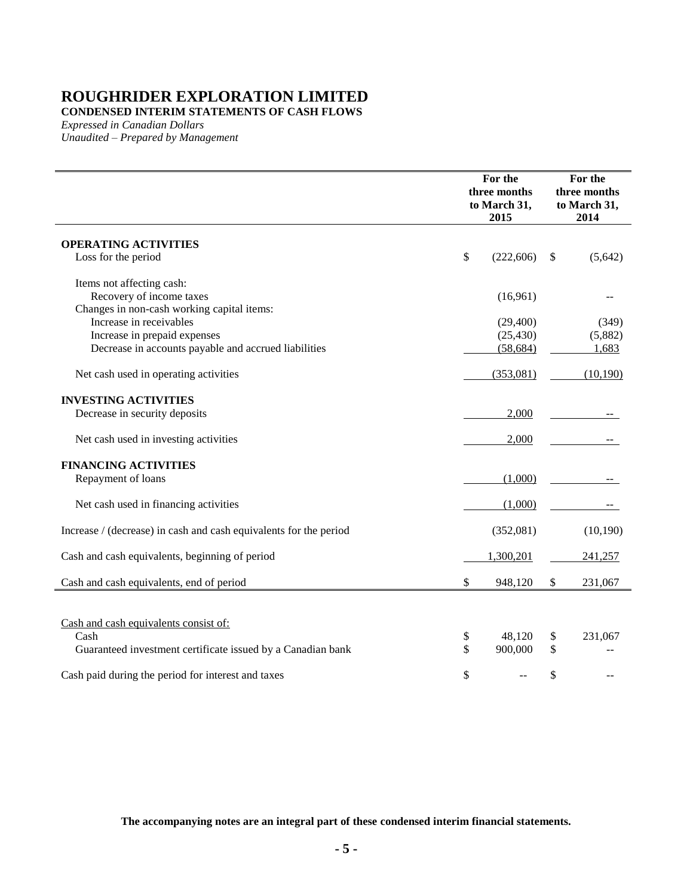**CONDENSED INTERIM STATEMENTS OF CASH FLOWS**

*Expressed in Canadian Dollars Unaudited – Prepared by Management*

|                                                                   | For the<br>three months<br>to March 31,<br>2015 | For the<br>three months<br>to March 31,<br>2014 |
|-------------------------------------------------------------------|-------------------------------------------------|-------------------------------------------------|
| <b>OPERATING ACTIVITIES</b>                                       |                                                 |                                                 |
| Loss for the period                                               | \$<br>(222,606)                                 | \$<br>(5,642)                                   |
| Items not affecting cash:                                         |                                                 |                                                 |
| Recovery of income taxes                                          | (16,961)                                        |                                                 |
| Changes in non-cash working capital items:                        |                                                 |                                                 |
| Increase in receivables                                           | (29, 400)                                       | (349)                                           |
| Increase in prepaid expenses                                      | (25, 430)                                       | (5,882)                                         |
| Decrease in accounts payable and accrued liabilities              | (58, 684)                                       | 1,683                                           |
| Net cash used in operating activities                             | (353,081)                                       | (10,190)                                        |
| <b>INVESTING ACTIVITIES</b>                                       |                                                 |                                                 |
| Decrease in security deposits                                     | 2,000                                           |                                                 |
| Net cash used in investing activities                             | 2,000                                           |                                                 |
| <b>FINANCING ACTIVITIES</b>                                       |                                                 |                                                 |
| Repayment of loans                                                | (1,000)                                         |                                                 |
| Net cash used in financing activities                             | (1,000)                                         |                                                 |
| Increase / (decrease) in cash and cash equivalents for the period | (352,081)                                       | (10, 190)                                       |
| Cash and cash equivalents, beginning of period                    | 1,300,201                                       | 241,257                                         |
| Cash and cash equivalents, end of period                          | \$<br>948,120                                   | \$<br>231,067                                   |
|                                                                   |                                                 |                                                 |
| Cash and cash equivalents consist of:                             |                                                 |                                                 |
| Cash                                                              | \$<br>48,120                                    | \$<br>231,067                                   |
| Guaranteed investment certificate issued by a Canadian bank       | \$<br>900,000                                   | \$                                              |
| Cash paid during the period for interest and taxes                | \$                                              | \$                                              |

**The accompanying notes are an integral part of these condensed interim financial statements.**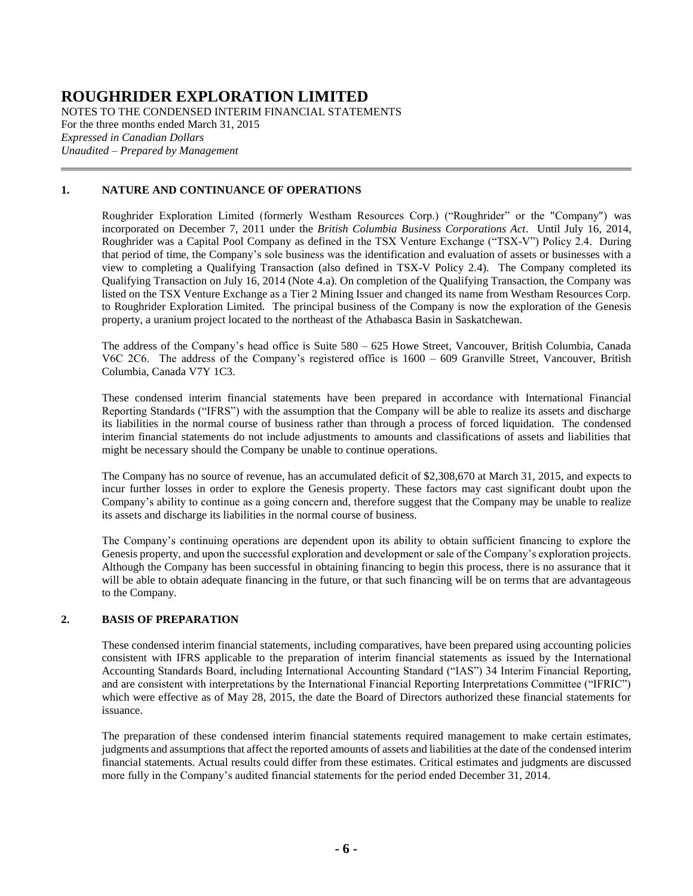NOTES TO THE CONDENSED INTERIM FINANCIAL STATEMENTS For the three months ended March 31, 2015 *Expressed in Canadian Dollars Unaudited – Prepared by Management*

### **1. NATURE AND CONTINUANCE OF OPERATIONS**

Roughrider Exploration Limited (formerly Westham Resources Corp.) ("Roughrider" or the "Company") was incorporated on December 7, 2011 under the *British Columbia Business Corporations Act*. Until July 16, 2014, Roughrider was a Capital Pool Company as defined in the TSX Venture Exchange ("TSX-V") Policy 2.4. During that period of time, the Company's sole business was the identification and evaluation of assets or businesses with a view to completing a Qualifying Transaction (also defined in TSX-V Policy 2.4). The Company completed its Qualifying Transaction on July 16, 2014 (Note [4.a\)](#page-7-0). On completion of the Qualifying Transaction, the Company was listed on the TSX Venture Exchange as a Tier 2 Mining Issuer and changed its name from Westham Resources Corp. to Roughrider Exploration Limited. The principal business of the Company is now the exploration of the Genesis property, a uranium project located to the northeast of the Athabasca Basin in Saskatchewan.

The address of the Company's head office is Suite 580 – 625 Howe Street, Vancouver, British Columbia, Canada V6C 2C6. The address of the Company's registered office is 1600 – 609 Granville Street, Vancouver, British Columbia, Canada V7Y 1C3.

These condensed interim financial statements have been prepared in accordance with International Financial Reporting Standards ("IFRS") with the assumption that the Company will be able to realize its assets and discharge its liabilities in the normal course of business rather than through a process of forced liquidation. The condensed interim financial statements do not include adjustments to amounts and classifications of assets and liabilities that might be necessary should the Company be unable to continue operations.

The Company has no source of revenue, has an accumulated deficit of \$2,308,670 at March 31, 2015, and expects to incur further losses in order to explore the Genesis property. These factors may cast significant doubt upon the Company's ability to continue as a going concern and, therefore suggest that the Company may be unable to realize its assets and discharge its liabilities in the normal course of business.

The Company's continuing operations are dependent upon its ability to obtain sufficient financing to explore the Genesis property, and upon the successful exploration and development or sale of the Company's exploration projects. Although the Company has been successful in obtaining financing to begin this process, there is no assurance that it will be able to obtain adequate financing in the future, or that such financing will be on terms that are advantageous to the Company.

### **2. BASIS OF PREPARATION**

These condensed interim financial statements, including comparatives, have been prepared using accounting policies consistent with IFRS applicable to the preparation of interim financial statements as issued by the International Accounting Standards Board, including International Accounting Standard ("IAS") 34 Interim Financial Reporting, and are consistent with interpretations by the International Financial Reporting Interpretations Committee ("IFRIC") which were effective as of May 28, 2015, the date the Board of Directors authorized these financial statements for issuance.

The preparation of these condensed interim financial statements required management to make certain estimates, judgments and assumptions that affect the reported amounts of assets and liabilities at the date of the condensed interim financial statements. Actual results could differ from these estimates. Critical estimates and judgments are discussed more fully in the Company's audited financial statements for the period ended December 31, 2014.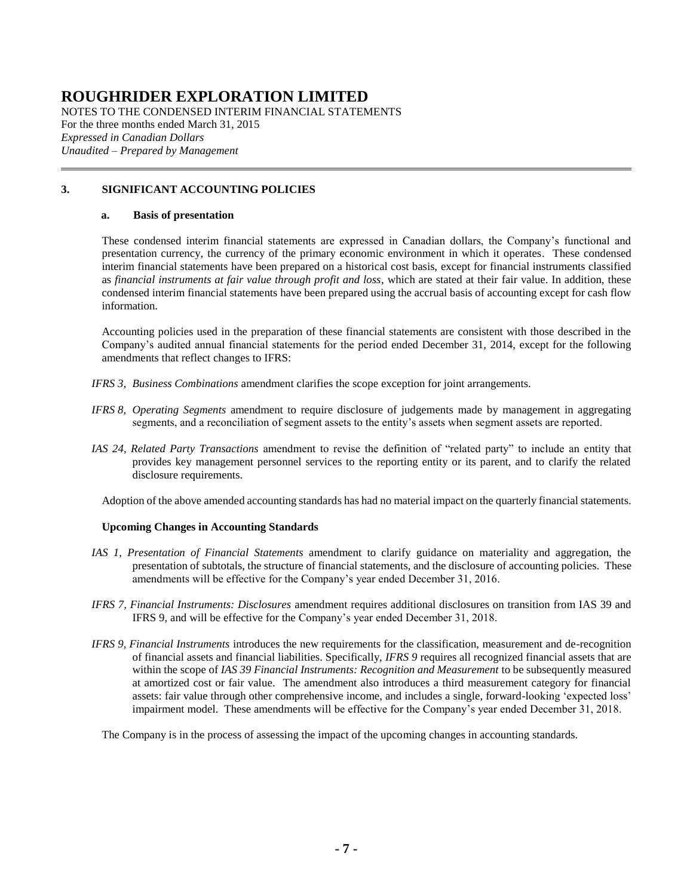NOTES TO THE CONDENSED INTERIM FINANCIAL STATEMENTS For the three months ended March 31, 2015 *Expressed in Canadian Dollars Unaudited – Prepared by Management*

### **3. SIGNIFICANT ACCOUNTING POLICIES**

#### **a. Basis of presentation**

These condensed interim financial statements are expressed in Canadian dollars, the Company's functional and presentation currency, the currency of the primary economic environment in which it operates. These condensed interim financial statements have been prepared on a historical cost basis, except for financial instruments classified as *financial instruments at fair value through profit and loss*, which are stated at their fair value. In addition, these condensed interim financial statements have been prepared using the accrual basis of accounting except for cash flow information.

Accounting policies used in the preparation of these financial statements are consistent with those described in the Company's audited annual financial statements for the period ended December 31, 2014, except for the following amendments that reflect changes to IFRS:

- *IFRS 3, Business Combinations* amendment clarifies the scope exception for joint arrangements.
- *IFRS 8, Operating Segments* amendment to require disclosure of judgements made by management in aggregating segments, and a reconciliation of segment assets to the entity's assets when segment assets are reported.
- *IAS 24, Related Party Transactions* amendment to revise the definition of "related party" to include an entity that provides key management personnel services to the reporting entity or its parent, and to clarify the related disclosure requirements.

Adoption of the above amended accounting standards has had no material impact on the quarterly financial statements.

### **Upcoming Changes in Accounting Standards**

- *IAS 1, Presentation of Financial Statements* amendment to clarify guidance on materiality and aggregation, the presentation of subtotals, the structure of financial statements, and the disclosure of accounting policies. These amendments will be effective for the Company's year ended December 31, 2016.
- *IFRS 7, Financial Instruments: Disclosures* amendment requires additional disclosures on transition from IAS 39 and IFRS 9, and will be effective for the Company's year ended December 31, 2018.
- *IFRS 9, Financial Instruments* introduces the new requirements for the classification, measurement and de-recognition of financial assets and financial liabilities. Specifically, *IFRS 9* requires all recognized financial assets that are within the scope of *IAS 39 Financial Instruments: Recognition and Measurement* to be subsequently measured at amortized cost or fair value. The amendment also introduces a third measurement category for financial assets: fair value through other comprehensive income, and includes a single, forward-looking 'expected loss' impairment model. These amendments will be effective for the Company's year ended December 31, 2018.

The Company is in the process of assessing the impact of the upcoming changes in accounting standards.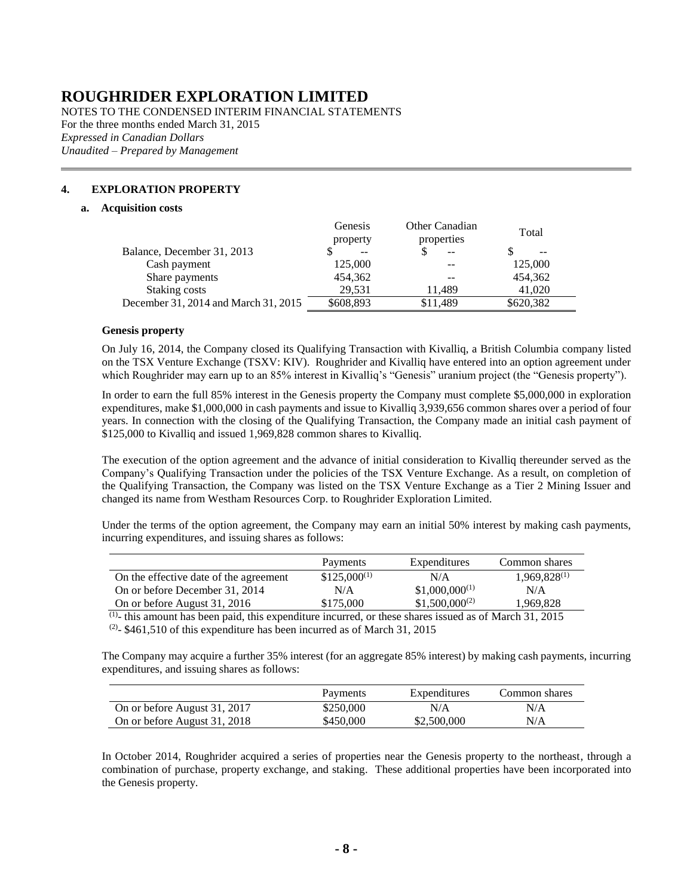NOTES TO THE CONDENSED INTERIM FINANCIAL STATEMENTS For the three months ended March 31, 2015 *Expressed in Canadian Dollars Unaudited – Prepared by Management*

### <span id="page-7-1"></span><span id="page-7-0"></span>**4. EXPLORATION PROPERTY**

#### **a. Acquisition costs**

|                                      | Genesis<br>property | Other Canadian<br>properties | Total     |
|--------------------------------------|---------------------|------------------------------|-----------|
| Balance, December 31, 2013           | $\qquad \qquad -$   | $-$                          | --        |
| Cash payment                         | 125,000             | --                           | 125,000   |
| Share payments                       | 454,362             | --                           | 454,362   |
| Staking costs                        | 29.531              | 11.489                       | 41,020    |
| December 31, 2014 and March 31, 2015 | \$608,893           | \$11,489                     | \$620,382 |

#### **Genesis property**

On July 16, 2014, the Company closed its Qualifying Transaction with Kivalliq, a British Columbia company listed on the TSX Venture Exchange (TSXV: KIV). Roughrider and Kivalliq have entered into an option agreement under which Roughrider may earn up to an 85% interest in Kivalliq's "Genesis" uranium project (the "Genesis property").

In order to earn the full 85% interest in the Genesis property the Company must complete \$5,000,000 in exploration expenditures, make \$1,000,000 in cash payments and issue to Kivalliq 3,939,656 common shares over a period of four years. In connection with the closing of the Qualifying Transaction, the Company made an initial cash payment of \$125,000 to Kivalliq and issued 1,969,828 common shares to Kivalliq.

The execution of the option agreement and the advance of initial consideration to Kivalliq thereunder served as the Company's Qualifying Transaction under the policies of the TSX Venture Exchange. As a result, on completion of the Qualifying Transaction, the Company was listed on the TSX Venture Exchange as a Tier 2 Mining Issuer and changed its name from Westham Resources Corp. to Roughrider Exploration Limited.

Under the terms of the option agreement, the Company may earn an initial 50% interest by making cash payments, incurring expenditures, and issuing shares as follows:

|                                        | Payments         | Expenditures       | Common shares     |
|----------------------------------------|------------------|--------------------|-------------------|
| On the effective date of the agreement | $$125,000^{(1)}$ | N/A                | $1,969,828^{(1)}$ |
| On or before December 31, 2014         | N/A              | $$1,000,000^{(1)}$ | N/A               |
| On or before August 31, 2016           | \$175,000        | $$1,500,000^{(2)}$ | 1.969.828         |

 $<sup>(1)</sup>$ - this amount has been paid, this expenditure incurred, or these shares issued as of March 31, 2015</sup>

 $(2)$ - \$461,510 of this expenditure has been incurred as of March 31, 2015

The Company may acquire a further 35% interest (for an aggregate 85% interest) by making cash payments, incurring expenditures, and issuing shares as follows:

|                              | Payments  | Expenditures | Common shares |
|------------------------------|-----------|--------------|---------------|
| On or before August 31, 2017 | \$250,000 | N/A          | N/A           |
| On or before August 31, 2018 | \$450,000 | \$2,500,000  | N/A           |

In October 2014, Roughrider acquired a series of properties near the Genesis property to the northeast, through a combination of purchase, property exchange, and staking. These additional properties have been incorporated into the Genesis property.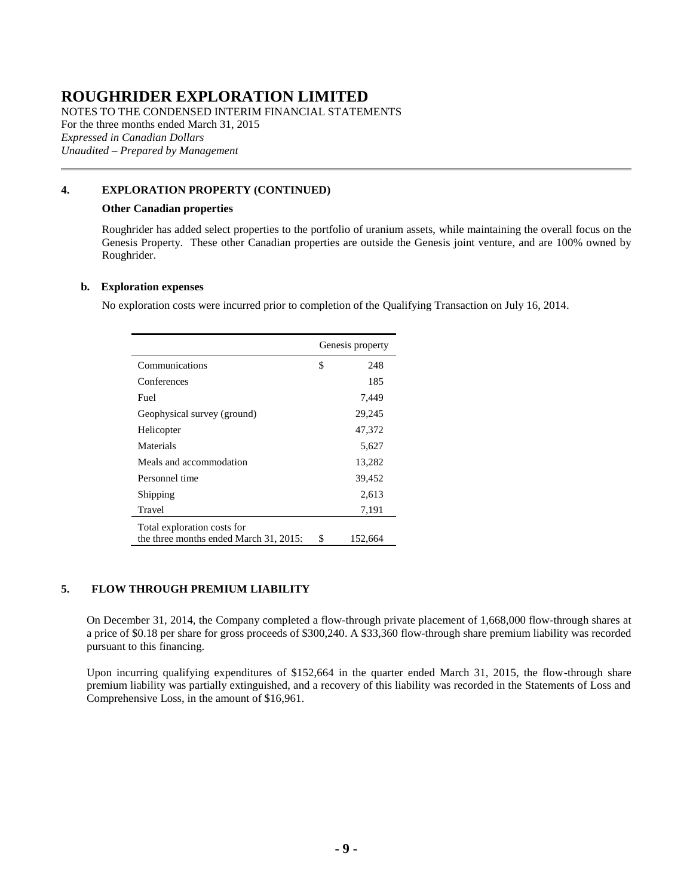NOTES TO THE CONDENSED INTERIM FINANCIAL STATEMENTS For the three months ended March 31, 2015 *Expressed in Canadian Dollars Unaudited – Prepared by Management*

### **[4.](#page-7-1) EXPLORATION PROPERTY (CONTINUED)**

#### **Other Canadian properties**

Roughrider has added select properties to the portfolio of uranium assets, while maintaining the overall focus on the Genesis Property. These other Canadian properties are outside the Genesis joint venture, and are 100% owned by Roughrider.

#### <span id="page-8-1"></span>**b. Exploration expenses**

No exploration costs were incurred prior to completion of the Qualifying Transaction on July 16, 2014.

|                                                                       | Genesis property |         |
|-----------------------------------------------------------------------|------------------|---------|
| Communications                                                        | \$               | 248     |
| Conferences                                                           |                  | 185     |
| Fuel                                                                  |                  | 7,449   |
| Geophysical survey (ground)                                           |                  | 29,245  |
| Helicopter                                                            |                  | 47,372  |
| Materials                                                             |                  | 5,627   |
| Meals and accommodation                                               |                  | 13,282  |
| Personnel time                                                        |                  | 39,452  |
| Shipping                                                              |                  | 2,613   |
| Travel                                                                |                  | 7,191   |
| Total exploration costs for<br>the three months ended March 31, 2015: | S                | 152,664 |

### <span id="page-8-0"></span>**5. FLOW THROUGH PREMIUM LIABILITY**

On December 31, 2014, the Company completed a flow-through private placement of 1,668,000 flow-through shares at a price of \$0.18 per share for gross proceeds of \$300,240. A \$33,360 flow-through share premium liability was recorded pursuant to this financing.

Upon incurring qualifying expenditures of \$152,664 in the quarter ended March 31, 2015, the flow-through share premium liability was partially extinguished, and a recovery of this liability was recorded in the Statements of Loss and Comprehensive Loss, in the amount of \$16,961.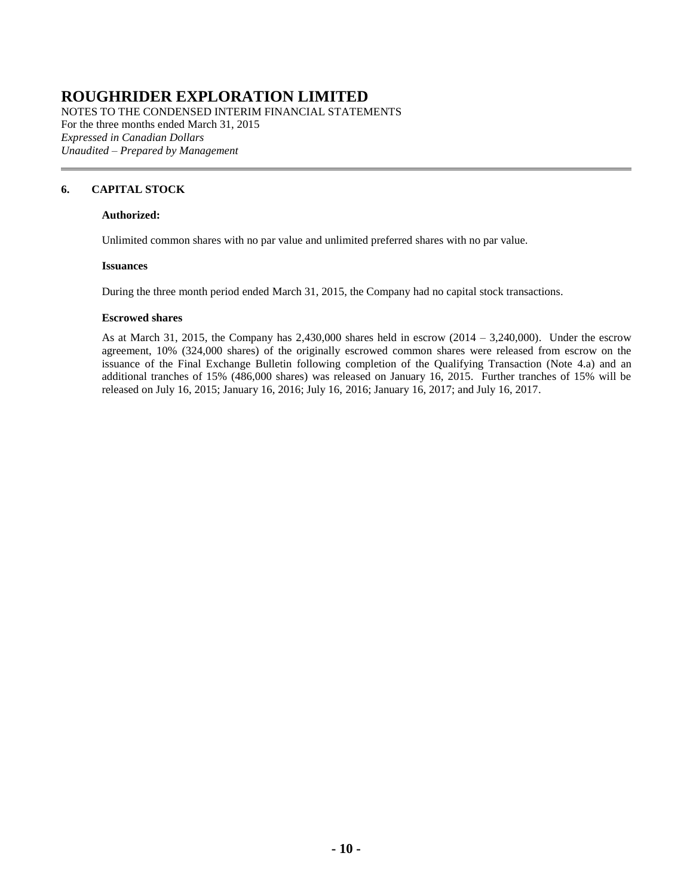NOTES TO THE CONDENSED INTERIM FINANCIAL STATEMENTS For the three months ended March 31, 2015 *Expressed in Canadian Dollars Unaudited – Prepared by Management*

### <span id="page-9-0"></span>**6. CAPITAL STOCK**

### **Authorized:**

Unlimited common shares with no par value and unlimited preferred shares with no par value.

#### **Issuances**

During the three month period ended March 31, 2015, the Company had no capital stock transactions.

#### **Escrowed shares**

As at March 31, 2015, the Company has  $2,430,000$  shares held in escrow  $(2014 - 3,240,000)$ . Under the escrow agreement, 10% (324,000 shares) of the originally escrowed common shares were released from escrow on the issuance of the Final Exchange Bulletin following completion of the Qualifying Transaction (Note [4.a\)](#page-7-0) and an additional tranches of 15% (486,000 shares) was released on January 16, 2015. Further tranches of 15% will be released on July 16, 2015; January 16, 2016; July 16, 2016; January 16, 2017; and July 16, 2017.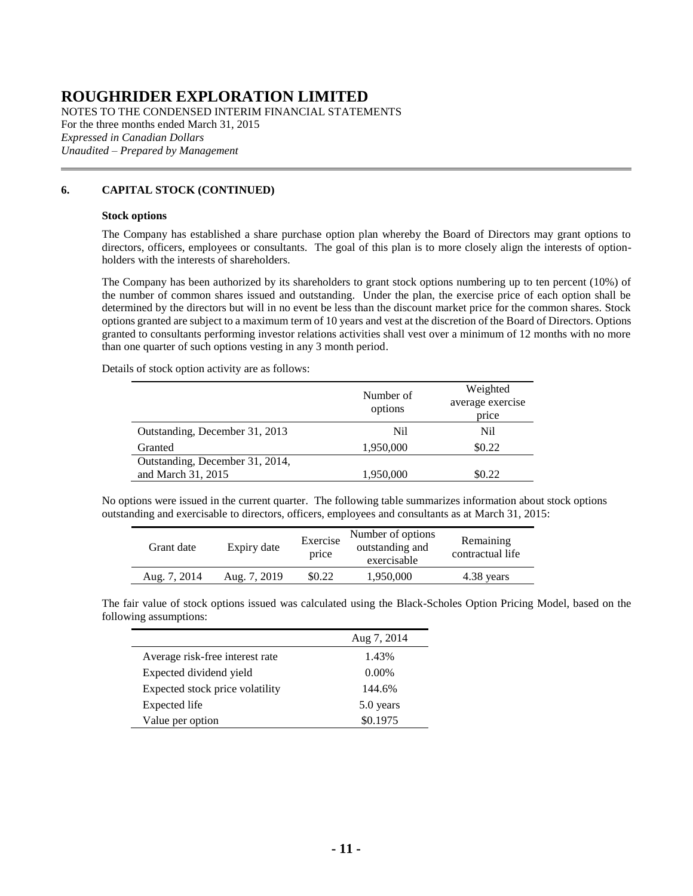NOTES TO THE CONDENSED INTERIM FINANCIAL STATEMENTS For the three months ended March 31, 2015 *Expressed in Canadian Dollars Unaudited – Prepared by Management*

### **[6.](#page-9-0) CAPITAL STOCK (CONTINUED)**

#### **Stock options**

The Company has established a share purchase option plan whereby the Board of Directors may grant options to directors, officers, employees or consultants. The goal of this plan is to more closely align the interests of optionholders with the interests of shareholders.

The Company has been authorized by its shareholders to grant stock options numbering up to ten percent (10%) of the number of common shares issued and outstanding. Under the plan, the exercise price of each option shall be determined by the directors but will in no event be less than the discount market price for the common shares. Stock options granted are subject to a maximum term of 10 years and vest at the discretion of the Board of Directors. Options granted to consultants performing investor relations activities shall vest over a minimum of 12 months with no more than one quarter of such options vesting in any 3 month period.

Details of stock option activity are as follows:

|                                 | Number of<br>options | Weighted<br>average exercise<br>price |
|---------------------------------|----------------------|---------------------------------------|
| Outstanding, December 31, 2013  | Nil                  | Nil.                                  |
| Granted                         | 1,950,000            | \$0.22                                |
| Outstanding, December 31, 2014, |                      |                                       |
| and March 31, 2015              | 1,950,000            | \$0.22                                |

No options were issued in the current quarter. The following table summarizes information about stock options outstanding and exercisable to directors, officers, employees and consultants as at March 31, 2015:

| Grant date   | Expiry date  | Exercise<br>price | Number of options<br>outstanding and<br>exercisable | Remaining<br>contractual life |
|--------------|--------------|-------------------|-----------------------------------------------------|-------------------------------|
| Aug. 7, 2014 | Aug. 7, 2019 | \$0.22            | 1.950.000                                           | 4.38 years                    |

The fair value of stock options issued was calculated using the Black-Scholes Option Pricing Model, based on the following assumptions:

|                                 | Aug 7, 2014 |
|---------------------------------|-------------|
| Average risk-free interest rate | 1.43%       |
| Expected dividend yield         | $0.00\%$    |
| Expected stock price volatility | 144.6%      |
| Expected life                   | 5.0 years   |
| Value per option                | \$0.1975    |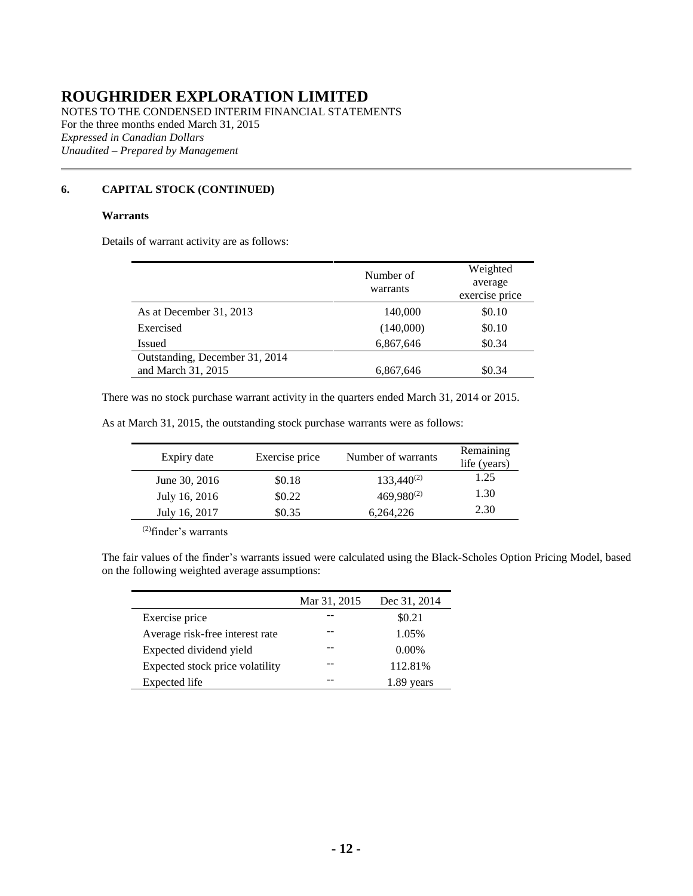NOTES TO THE CONDENSED INTERIM FINANCIAL STATEMENTS For the three months ended March 31, 2015 *Expressed in Canadian Dollars Unaudited – Prepared by Management*

### **[6.](#page-9-0) CAPITAL STOCK (CONTINUED)**

### **Warrants**

Details of warrant activity are as follows:

|                                                      | Number of<br>warrants | Weighted<br>average<br>exercise price |
|------------------------------------------------------|-----------------------|---------------------------------------|
| As at December 31, 2013                              | 140,000               | \$0.10                                |
| Exercised                                            | (140,000)             | \$0.10                                |
| Issued                                               | 6,867,646             | \$0.34                                |
| Outstanding, December 31, 2014<br>and March 31, 2015 | 6,867,646             | \$0.34                                |

There was no stock purchase warrant activity in the quarters ended March 31, 2014 or 2015.

As at March 31, 2015, the outstanding stock purchase warrants were as follows:

| Expiry date   | Exercise price | Number of warrants | Remaining<br>life (years) |
|---------------|----------------|--------------------|---------------------------|
| June 30, 2016 | \$0.18         | $133,440^{(2)}$    | 1.25                      |
| July 16, 2016 | \$0.22         | $469,980^{(2)}$    | 1.30                      |
| July 16, 2017 | \$0.35         | 6,264,226          | 2.30                      |

(2)finder's warrants

The fair values of the finder's warrants issued were calculated using the Black-Scholes Option Pricing Model, based on the following weighted average assumptions:

|                                 | Mar 31, 2015 | Dec 31, 2014 |
|---------------------------------|--------------|--------------|
| Exercise price                  |              | \$0.21       |
| Average risk-free interest rate |              | 1.05%        |
| Expected dividend yield         |              | $0.00\%$     |
| Expected stock price volatility |              | 112.81%      |
| Expected life                   |              | vears        |